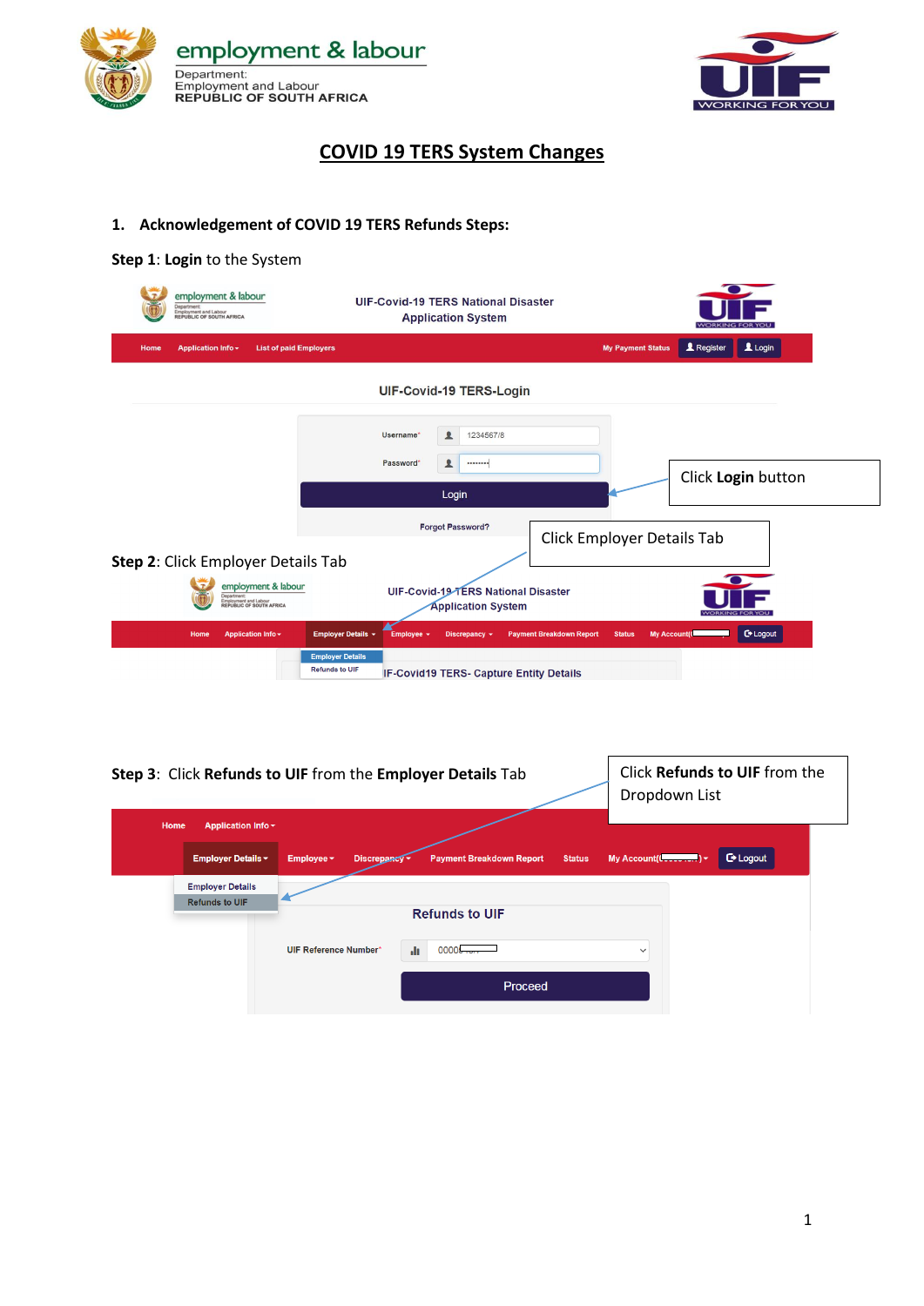



# **COVID 19 TERS System Changes**

## **1. Acknowledgement of COVID 19 TERS Refunds Steps:**

#### **Step 1**: **Login** to the System

| employment & labour<br>Department:<br>Employment and Labour<br>REPUBLIC OF SOUTH AFRICA | <b>UIF-Covid-19 TERS National Disaster</b><br><b>Application System</b>                                                                                                                                                                                |
|-----------------------------------------------------------------------------------------|--------------------------------------------------------------------------------------------------------------------------------------------------------------------------------------------------------------------------------------------------------|
| <b>Application Info -</b><br><b>List of paid Employers</b><br>Home                      | $\mathbf 1$ Login<br><b>1</b> Register<br><b>My Payment Status</b>                                                                                                                                                                                     |
|                                                                                         | UIF-Covid-19 TERS-Login                                                                                                                                                                                                                                |
|                                                                                         | 1234567/8<br>丄<br>Username*<br>Password*<br>ᇫ<br><br>Click Login button<br>Login                                                                                                                                                                       |
| Step 2: Click Employer Details Tab                                                      | <b>Forgot Password?</b><br>Click Employer Details Tab                                                                                                                                                                                                  |
| employment & labour<br>Department:<br>Employment and Labour<br>REPUBLIC OF SOUTH AFRICA | UIF-Covid-19 TERS National Disaster<br><b>Application System</b>                                                                                                                                                                                       |
| Application Info -<br>Home                                                              | <b>C</b> + Logout<br>Employer Details ~<br><b>My Account(Co</b><br><b>Status</b><br>Employee $\sim$<br>Discrepancy -<br><b>Payment Breakdown Report</b><br><b>Employer Details</b><br><b>Refunds to UIF</b><br>IF-Covid19 TERS- Capture Entity Details |
|                                                                                         |                                                                                                                                                                                                                                                        |
|                                                                                         | Click Refunds to UIF from the<br>Step 3: Click Refunds to UIF from the Employer Details Tab<br>Dropdown List                                                                                                                                           |
| Application Info -<br>Home                                                              |                                                                                                                                                                                                                                                        |

My Account( $(\ldots, \ldots)$   $\star$ G Logout Discrepancy -Payment Breakdown Report Status Employer Details ~ Employee  $\star$ **Employer Details Refunds to UIF Refunds to UIF** UIF Reference Number\*  $\mathbf{d}$  $00000$  $\checkmark$ Proceed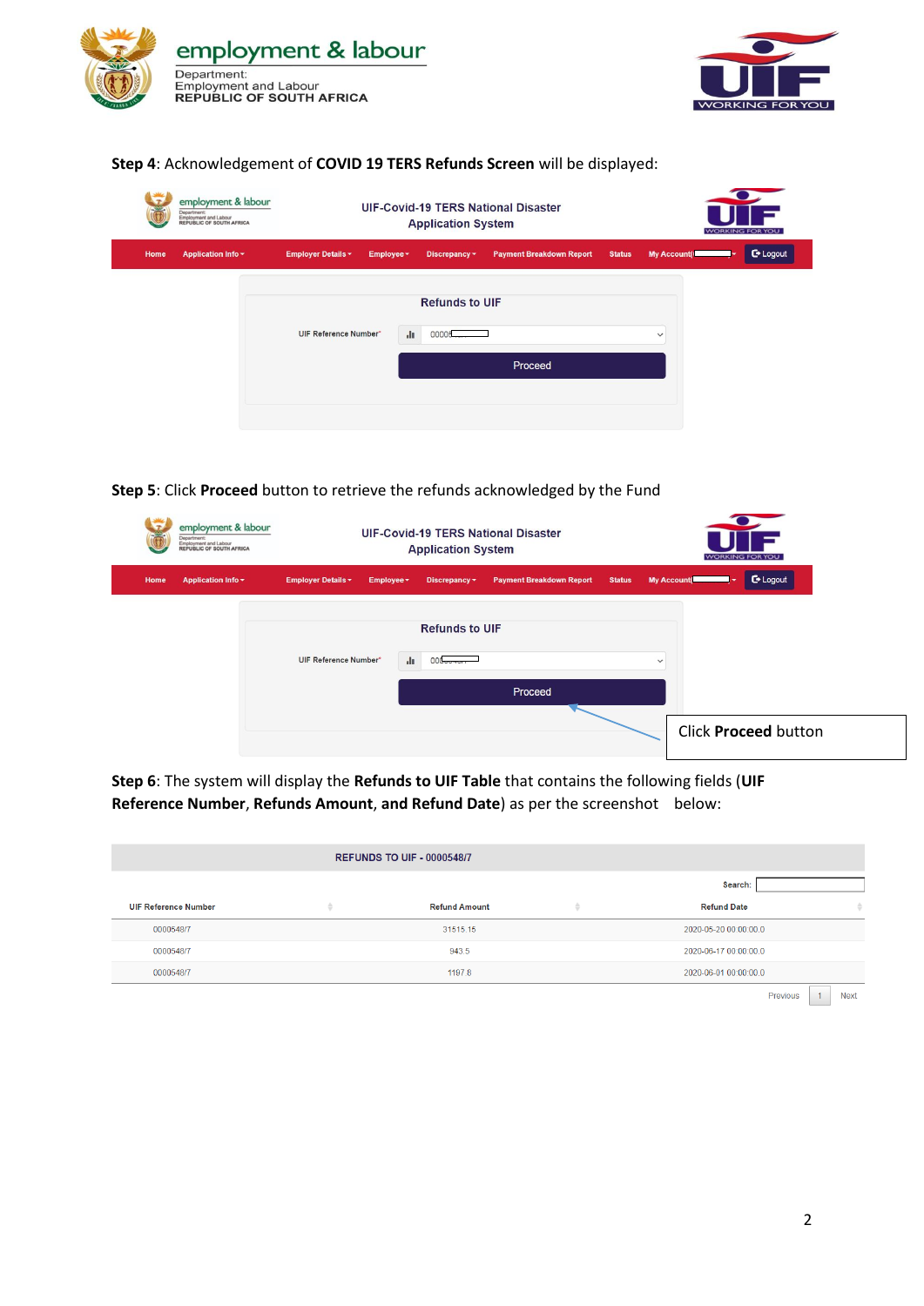



### **Step 4**: Acknowledgement of **COVID 19 TERS Refunds Screen** will be displayed:

|      | employment & labour<br>Department:<br>Employment and Labour<br>REPUBLIC OF SOUTH AFRICA |                              |            | <b>Application System</b>      | <b>UIF-Covid-19 TERS National Disaster</b> |               | <b>WORKING FOR YOU</b> |            |
|------|-----------------------------------------------------------------------------------------|------------------------------|------------|--------------------------------|--------------------------------------------|---------------|------------------------|------------|
| Home | <b>Application Info v</b>                                                               | <b>Employer Details -</b>    | Employee ~ | Discrepancy -                  | <b>Payment Breakdown Report</b>            | <b>Status</b> | <b>My Account(I</b>    | $C$ Logout |
|      |                                                                                         | <b>UIF Reference Number*</b> | di.        | <b>Refunds to UIF</b><br>00005 | Proceed                                    |               | $\checkmark$           |            |

## **Step 5**: Click **Proceed** button to retrieve the refunds acknowledged by the Fund

| epartment   | employment & labour<br>Employment and Labour<br>REPUBLIC OF SOUTH AFRICA |              | <b>UIF-Covid-19 TERS National Disaster</b><br><b>Application System</b> |                                 |               | <b>WORKING FOR YOU</b> |                      |
|-------------|--------------------------------------------------------------------------|--------------|-------------------------------------------------------------------------|---------------------------------|---------------|------------------------|----------------------|
| <b>Home</b> | <b>Application Info v</b><br><b>Employer Details *</b>                   | Employee *   | Discrepancy -                                                           | <b>Payment Breakdown Report</b> | <b>Status</b> | <b>My Account(</b>     | C Logout             |
|             | <b>UIF Reference Number*</b>                                             | $\mathbf{d}$ | <b>Refunds to UIF</b><br>$000 -$                                        | Proceed                         | $\checkmark$  |                        |                      |
|             |                                                                          |              |                                                                         |                                 |               |                        | Click Proceed button |

**Step 6**: The system will display the **Refunds to UIF Table** that contains the following fields (**UIF Reference Number**, **Refunds Amount**, **and Refund Date**) as per the screenshot below:

|                             |   | <b>REFUNDS TO UIF - 0000548/7</b> |   |                       |             |
|-----------------------------|---|-----------------------------------|---|-----------------------|-------------|
|                             |   |                                   |   | Search:               |             |
| <b>UIF Reference Number</b> | ÷ | <b>Refund Amount</b>              | ٠ | <b>Refund Date</b>    |             |
| 0000548/7                   |   | 31515.15                          |   | 2020-05-20 00:00:00.0 |             |
| 0000548/7                   |   | 943.5                             |   | 2020-06-17 00:00:00.0 |             |
| 0000548/7                   |   | 1197.8                            |   | 2020-06-01 00:00:00.0 |             |
|                             |   |                                   |   | Previous              | <b>Next</b> |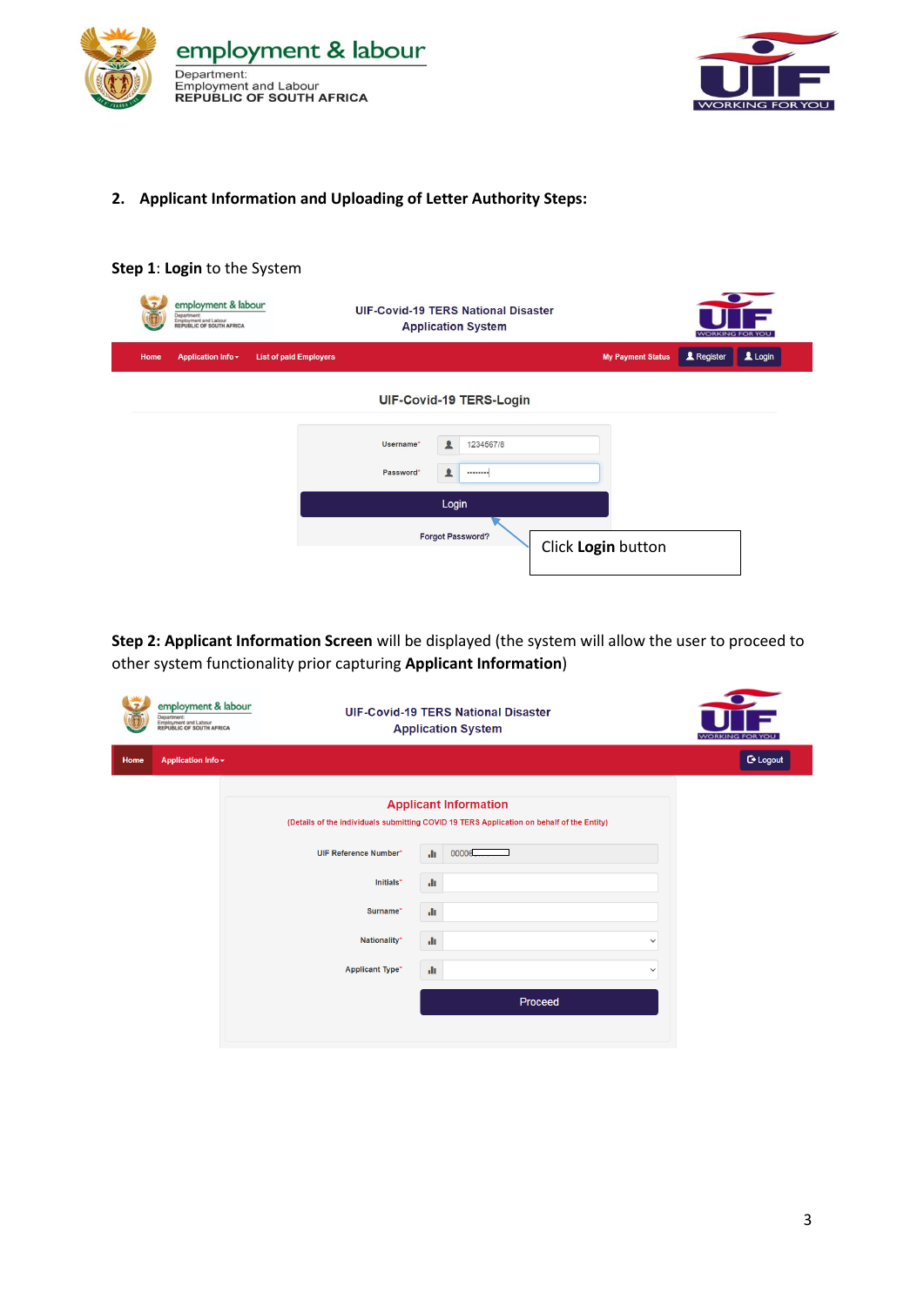



### **2. Applicant Information and Uploading of Letter Authority Steps:**



**Step 2: Applicant Information Screen** will be displayed (the system will allow the user to proceed to other system functionality prior capturing **Applicant Information**)

|      | employment & labour<br>Department:<br>Employment and Labour<br>REPUBLIC OF SOUTH AFRICA |                              | <b>UIF-Covid-19 TERS National Disaster</b><br><b>Application System</b>                                                   | $\sqrt{2}$<br><b>WORKING FOR YOU</b> |
|------|-----------------------------------------------------------------------------------------|------------------------------|---------------------------------------------------------------------------------------------------------------------------|--------------------------------------|
| Home | Application Info -                                                                      |                              |                                                                                                                           | $C$ Logout                           |
|      |                                                                                         |                              | <b>Applicant Information</b><br>(Details of the individuals submitting COVID 19 TERS Application on behalf of the Entity) |                                      |
|      |                                                                                         | <b>UIF Reference Number*</b> | 00006<br>ah.                                                                                                              |                                      |
|      |                                                                                         | Initials*                    | ah.                                                                                                                       |                                      |
|      |                                                                                         | Surname*                     | ah.                                                                                                                       |                                      |
|      |                                                                                         | Nationality*                 | ah.                                                                                                                       | $\check{~}$                          |
|      |                                                                                         | <b>Applicant Type*</b>       | alı.                                                                                                                      | $\checkmark$                         |
|      |                                                                                         |                              | Proceed                                                                                                                   |                                      |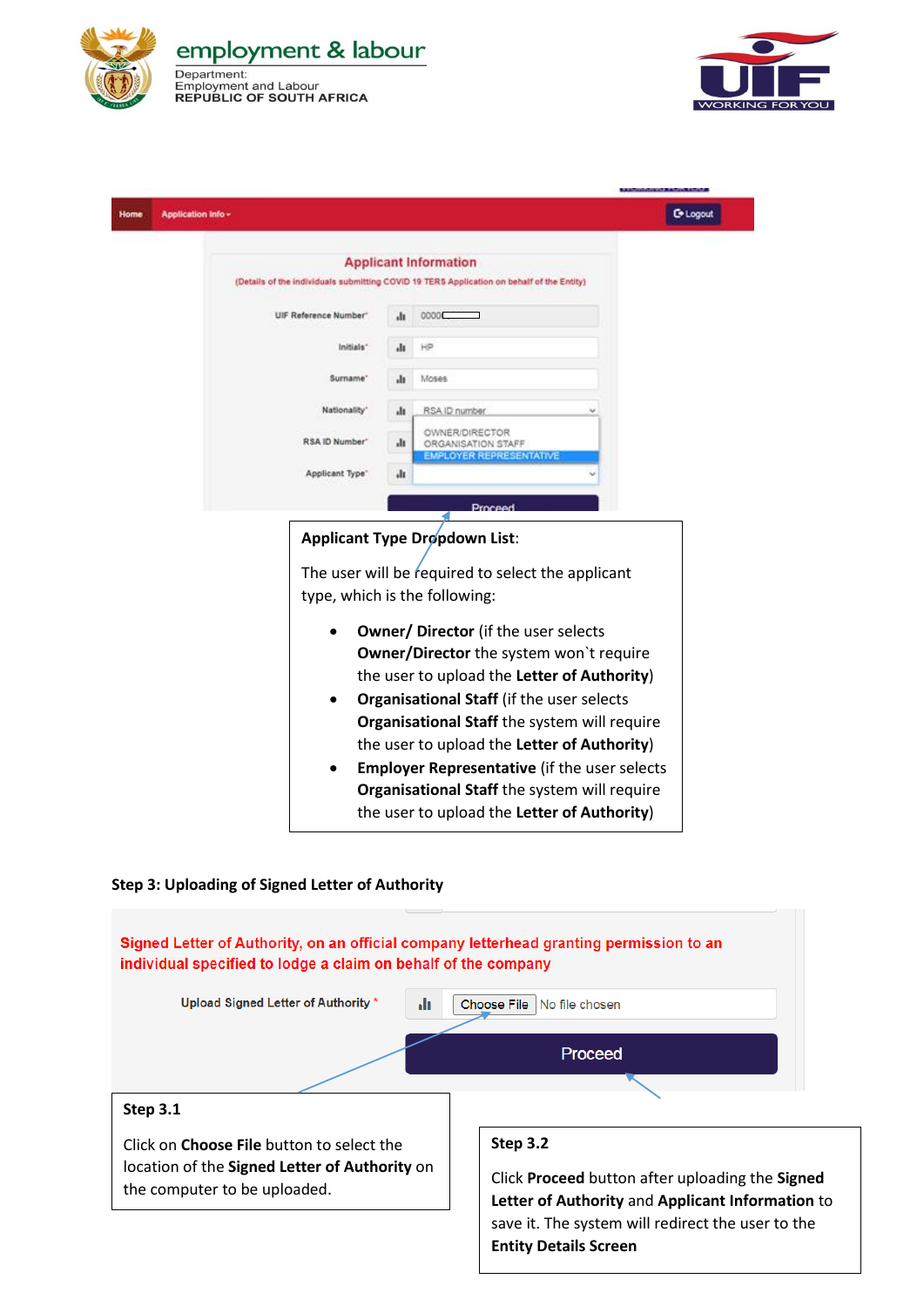



| Application Info -    |      |                                                                                           | <b>C</b> + Logout |
|-----------------------|------|-------------------------------------------------------------------------------------------|-------------------|
|                       |      | <b>Applicant Information</b>                                                              |                   |
|                       |      | (Details of the individuals submitting COVID 19 TERS Application on behalf of the Entity) |                   |
|                       |      |                                                                                           |                   |
| UIF Reference Number" | ٠l١  | 0000                                                                                      |                   |
| Initials"             | ٠l٢  | HP                                                                                        |                   |
|                       |      |                                                                                           |                   |
| Surname'              | ılı  | Moses                                                                                     |                   |
| Nationality"          | ılı  | RSA ID number                                                                             |                   |
|                       |      | OWNER/DIRECTOR                                                                            |                   |
| RSA ID Number"        | alt. | ORGANISATION STAFF                                                                        |                   |
| Applicant Type"       | ılı  | EMPLOYER REPRESENTATIVE                                                                   |                   |
|                       |      |                                                                                           |                   |
|                       |      | Proceed                                                                                   |                   |
|                       |      | <b>Applicant Type Dropdown List:</b>                                                      |                   |
|                       |      |                                                                                           |                   |
|                       |      | The user will be required to select the applicant                                         |                   |
|                       |      | type, which is the following:                                                             |                   |
|                       |      |                                                                                           |                   |
|                       |      | <b>Owner/ Director</b> (if the user selects                                               |                   |
|                       |      | <b>Owner/Director</b> the system won't require                                            |                   |
|                       |      | the user to upload the Letter of Authority)                                               |                   |
|                       |      | <b>Organisational Staff (if the user selects)</b>                                         |                   |
|                       |      | Organisational Staff the system will require                                              |                   |
|                       |      | the user to upload the Letter of Authority)                                               |                   |
|                       |      | <b>Employer Representative (if the user selects)</b>                                      |                   |
|                       |      | Organisational Staff the system will require                                              |                   |
|                       |      | the user to upload the Letter of Authority)                                               |                   |
|                       |      |                                                                                           |                   |

## **Step 3: Uploading of Signed Letter of Authority**

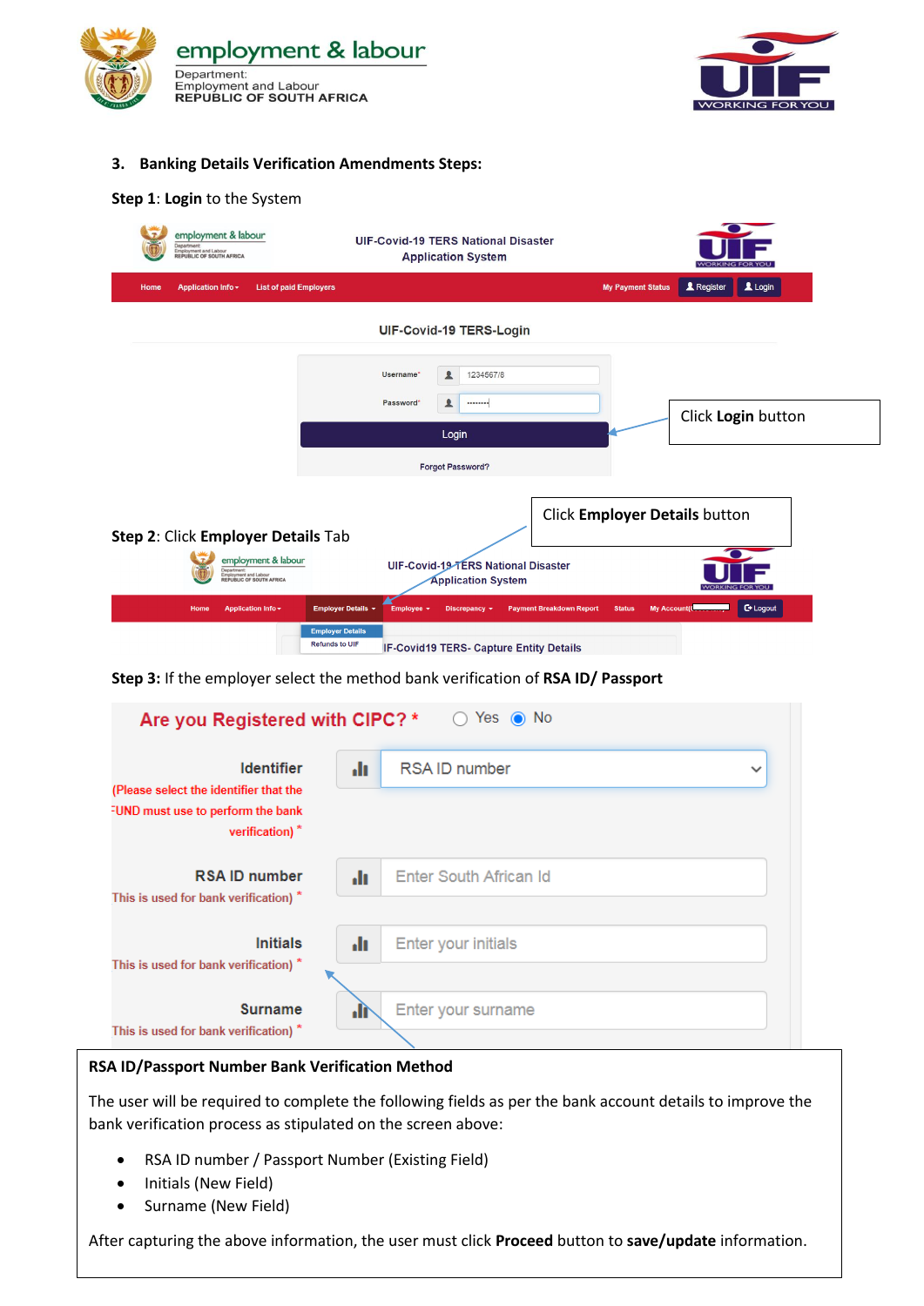



#### **3. Banking Details Verification Amendments Steps:**

#### **Step 1**: **Login** to the System

| employment & labour<br>Department:<br>Employment and Labour<br><b>REPUBLIC OF SOUTH AFRICA</b> | <b>UIF-Covid-19 TERS National Disaster</b><br><b>Application System</b>                                                                           | <b>WORKING FOR YOU</b>                            |
|------------------------------------------------------------------------------------------------|---------------------------------------------------------------------------------------------------------------------------------------------------|---------------------------------------------------|
| <b>Application Info -</b><br><b>List of paid Employers</b><br>Home                             |                                                                                                                                                   | Register<br>$L$ Login<br><b>My Payment Status</b> |
|                                                                                                | UIF-Covid-19 TERS-Login                                                                                                                           |                                                   |
|                                                                                                | 1234567/8<br>Username*<br>ᇫ<br>丄<br>Password*<br>                                                                                                 | Click Login button                                |
|                                                                                                | Login<br><b>Forgot Password?</b>                                                                                                                  |                                                   |
| Step 2: Click Employer Details Tab                                                             |                                                                                                                                                   | Click Employer Details button                     |
| employment & labour<br><b>Department:</b><br>Employment and Labour<br>REPUBLIC OF SOUTH AFRICA | UIF-Covid-19-TERS National Disaster<br><b>Application System</b>                                                                                  | <b>WORKING FOR YOU</b>                            |
| Home<br>Application Info -                                                                     | <b>Employer Details +</b><br><b>Payment Breakdown Report</b><br><b>Status</b><br><b>Employee</b><br><b>Discrepancy</b><br><b>Employer Details</b> | <b>C</b> + Logout<br><b>My Account(C</b>          |
|                                                                                                | <b>Refunds to UIF</b><br><b>IF-Covid19 TERS- Capture Entity Details</b>                                                                           |                                                   |

**Step 3:** If the employer select the method bank verification of **RSA ID/ Passport**

| Yes $\odot$ No<br>Are you Registered with CIPC? *<br>(          |      |                                     |  |  |  |  |
|-----------------------------------------------------------------|------|-------------------------------------|--|--|--|--|
| <b>Identifier</b><br>(Please select the identifier that the     | d۱   | <b>RSAID number</b><br>$\checkmark$ |  |  |  |  |
| FUND must use to perform the bank<br>verification) <sup>*</sup> |      |                                     |  |  |  |  |
| <b>RSAID number</b><br>This is used for bank verification) *    | ah.  | Enter South African Id              |  |  |  |  |
| <b>Initials</b><br>This is used for bank verification) *        | alı. | <b>Enter your initials</b>          |  |  |  |  |
| <b>Surname</b><br>This is used for bank verification) *         | ۵H   | Enter your surname                  |  |  |  |  |

### **RSA ID/Passport Number Bank Verification Method**

The user will be required to complete the following fields as per the bank account details to improve the bank verification process as stipulated on the screen above:

- RSA ID number / Passport Number (Existing Field)
- Initials (New Field)
- Surname (New Field)

After capturing the above information, the user must click **Proceed** button to **save/update** information.